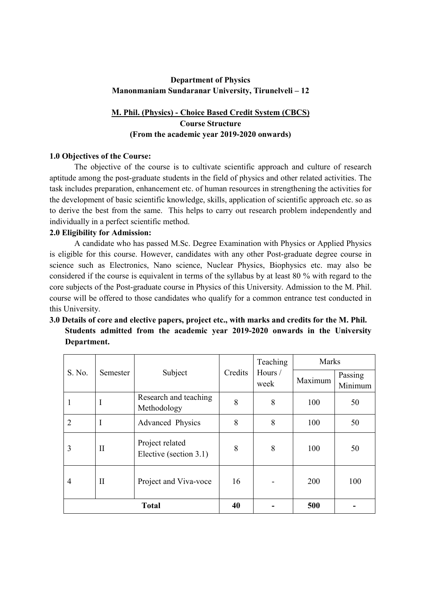# **Department of Physics Manonmaniam Sundaranar University, Tirunelveli – 12**

# **M. Phil. (Physics) - Choice Based Credit System (CBCS) Course Structure (From the academic year 2019-2020 onwards)**

# **1.0 Objectives of the Course:**

The objective of the course is to cultivate scientific approach and culture of research aptitude among the post-graduate students in the field of physics and other related activities. The task includes preparation, enhancement etc. of human resources in strengthening the activities for the development of basic scientific knowledge, skills, application of scientific approach etc. so as to derive the best from the same. This helps to carry out research problem independently and individually in a perfect scientific method.

# **2.0 Eligibility for Admission:**

A candidate who has passed M.Sc. Degree Examination with Physics or Applied Physics is eligible for this course. However, candidates with any other Post-graduate degree course in science such as Electronics, Nano science, Nuclear Physics, Biophysics etc. may also be considered if the course is equivalent in terms of the syllabus by at least 80 % with regard to the core subjects of the Post-graduate course in Physics of this University. Admission to the M. Phil. course will be offered to those candidates who qualify for a common entrance test conducted in this University.

# **3.0 Details of core and elective papers, project etc., with marks and credits for the M. Phil. Students admitted from the academic year 2019-2020 onwards in the University Department.**

| S. No.         | Semester | Subject                                   | Credits | Teaching<br>Hours /<br>week | <b>Marks</b> |                    |
|----------------|----------|-------------------------------------------|---------|-----------------------------|--------------|--------------------|
|                |          |                                           |         |                             | Maximum      | Passing<br>Minimum |
| 1              | I        | Research and teaching<br>Methodology      | 8       | 8                           | 100          | 50                 |
| $\overline{2}$ | I        | Advanced Physics                          | 8       | 8                           | 100          | 50                 |
| 3              | П        | Project related<br>Elective (section 3.1) | 8       | 8                           | 100          | 50                 |
| 4              | П        | Project and Viva-voce                     | 16      |                             | 200          | 100                |
| <b>Total</b>   |          |                                           | 40      |                             | 500          |                    |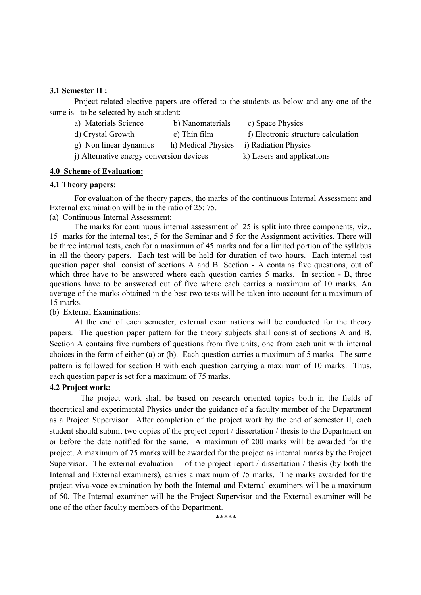## **3.1 Semester II :**

Project related elective papers are offered to the students as below and any one of the same is to be selected by each student:

- a) Materials Science b) Nanomaterials c) Space Physics
- d) Crystal Growth e) Thin film film f) Electronic structure calculation
	-
- 
- 
- g) Non linear dynamics h) Medical Physics i) Radiation Physics
- j) Alternative energy conversion devices k) Lasers and applications

# **4.0 Scheme of Evaluation:**

## **4.1 Theory papers:**

For evaluation of the theory papers, the marks of the continuous Internal Assessment and External examination will be in the ratio of 25: 75.

# (a) Continuous Internal Assessment:

The marks for continuous internal assessment of 25 is split into three components, viz., 15 marks for the internal test, 5 for the Seminar and 5 for the Assignment activities. There will be three internal tests, each for a maximum of 45 marks and for a limited portion of the syllabus in all the theory papers. Each test will be held for duration of two hours. Each internal test question paper shall consist of sections A and B. Section - A contains five questions, out of which three have to be answered where each question carries 5 marks. In section - B, three questions have to be answered out of five where each carries a maximum of 10 marks. An average of the marks obtained in the best two tests will be taken into account for a maximum of 15 marks.

# (b) External Examinations:

At the end of each semester, external examinations will be conducted for the theory papers. The question paper pattern for the theory subjects shall consist of sections A and B. Section A contains five numbers of questions from five units, one from each unit with internal choices in the form of either (a) or (b). Each question carries a maximum of 5 marks. The same pattern is followed for section B with each question carrying a maximum of 10 marks. Thus, each question paper is set for a maximum of 75 marks.

# **4.2 Project work:**

The project work shall be based on research oriented topics both in the fields of theoretical and experimental Physics under the guidance of a faculty member of the Department as a Project Supervisor. After completion of the project work by the end of semester II, each student should submit two copies of the project report / dissertation / thesis to the Department on or before the date notified for the same. A maximum of 200 marks will be awarded for the project. A maximum of 75 marks will be awarded for the project as internal marks by the Project Supervisor. The external evaluation of the project report / dissertation / thesis (by both the Internal and External examiners), carries a maximum of 75 marks. The marks awarded for the project viva-voce examination by both the Internal and External examiners will be a maximum of 50. The Internal examiner will be the Project Supervisor and the External examiner will be one of the other faculty members of the Department.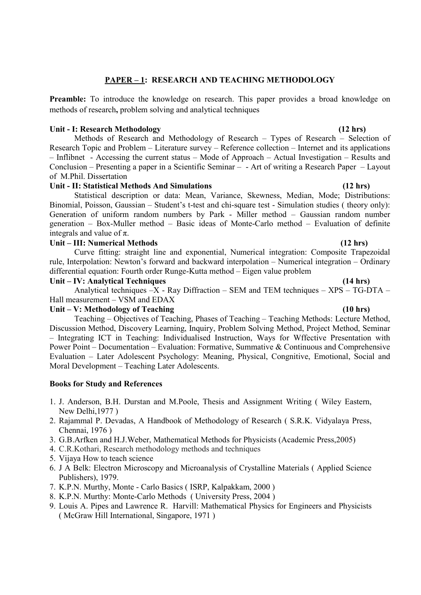# **PAPER – 1: RESEARCH AND TEACHING METHODOLOGY**

Preamble: To introduce the knowledge on research. This paper provides a broad knowledge on methods of research**,** problem solving and analytical techniques

## **Unit - I: Research Methodology (12 hrs)**

Methods of Research and Methodology of Research – Types of Research – Selection of Research Topic and Problem – Literature survey – Reference collection – Internet and its applications – Inflibnet - Accessing the current status – Mode of Approach – Actual Investigation – Results and Conclusion – Presenting a paper in a Scientific Seminar – - Art of writing a Research Paper – Layout of M.Phil. Dissertation

## **Unit - II: Statistical Methods And Simulations (12 hrs)**

Statistical description or data: Mean, Variance, Skewness, Median, Mode; Distributions: Binomial, Poisson, Gaussian – Student's t-test and chi-square test - Simulation studies ( theory only): Generation of uniform random numbers by Park - Miller method – Gaussian random number generation – Box-Muller method – Basic ideas of Monte-Carlo method – Evaluation of definite integrals and value of  $\pi$ .

## **Unit – III: Numerical Methods (12 hrs)**

Curve fitting: straight line and exponential, Numerical integration: Composite Trapezoidal rule, Interpolation: Newton's forward and backward interpolation – Numerical integration – Ordinary differential equation: Fourth order Runge-Kutta method – Eigen value problem

## Unit – IV: Analytical Techniques (14 hrs)

Analytical techniques –X - Ray Diffraction – SEM and TEM techniques – XPS – TG-DTA – Hall measurement – VSM and EDAX

## **Unit – V: Methodology of Teaching (10 hrs)**

Teaching – Objectives of Teaching, Phases of Teaching – Teaching Methods: Lecture Method, Discussion Method, Discovery Learning, Inquiry, Problem Solving Method, Project Method, Seminar – Integrating ICT in Teaching: Individualised Instruction, Ways for Wffective Presentation with Power Point – Documentation – Evaluation: Formative, Summative & Continuous and Comprehensive Evaluation – Later Adolescent Psychology: Meaning, Physical, Congnitive, Emotional, Social and Moral Development – Teaching Later Adolescents.

- 1. J. Anderson, B.H. Durstan and M.Poole, Thesis and Assignment Writing ( Wiley Eastern, New Delhi,1977 )
- 2. Rajammal P. Devadas, A Handbook of Methodology of Research ( S.R.K. Vidyalaya Press, Chennai, 1976 )
- 3. G.B.Arfken and H.J.Weber, Mathematical Methods for Physicists (Academic Press,2005)
- 4. C.R.Kothari, Research methodology methods and techniques
- 5. Vijaya How to teach science
- 6. J A Belk: Electron Microscopy and Microanalysis of Crystalline Materials ( Applied Science Publishers), 1979.
- 7. K.P.N. Murthy, Monte Carlo Basics ( ISRP, Kalpakkam, 2000 )
- 8. K.P.N. Murthy: Monte-Carlo Methods ( University Press, 2004 )
- 9. Louis A. Pipes and Lawrence R. Harvill: Mathematical Physics for Engineers and Physicists ( McGraw Hill International, Singapore, 1971 )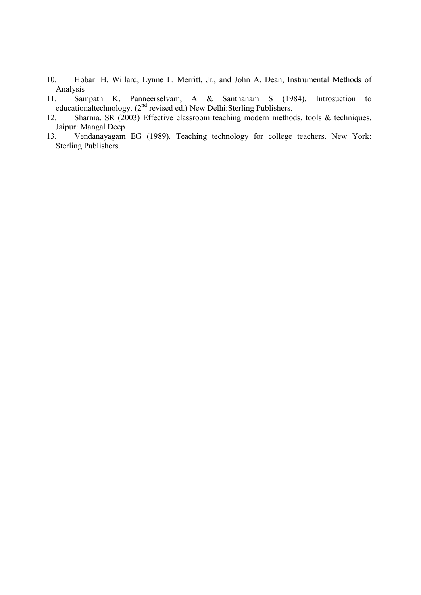- 10. Hobarl H. Willard, Lynne L. Merritt, Jr., and John A. Dean, Instrumental Methods of Analysis<br>11. San
- 11. Sampath K, Panneerselvam, A & Santhanam S (1984). Introsuction to educationaltechnology. (2<sup>nd</sup> revised ed.) New Delhi:Sterling Publishers.
- 12. Sharma. SR (2003) Effective classroom teaching modern methods, tools & techniques. Jaipur: Mangal Deep
- 13. Vendanayagam EG (1989). Teaching technology for college teachers. New York: Sterling Publishers.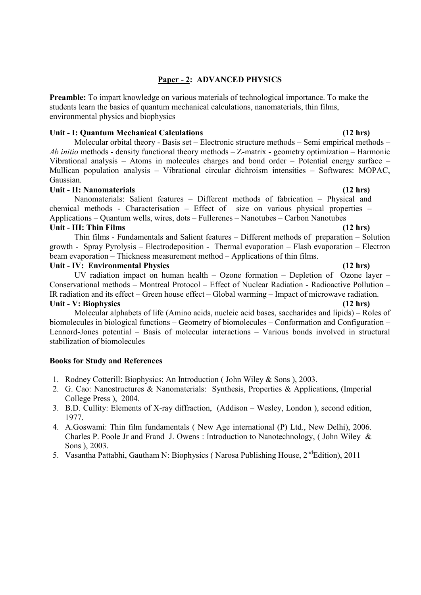# **Paper - 2: ADVANCED PHYSICS**

**Preamble:** To impart knowledge on various materials of technological importance. To make the students learn the basics of quantum mechanical calculations, nanomaterials, thin films, environmental physics and biophysics

## **Unit - I: Quantum Mechanical Calculations (12 hrs)**

Molecular orbital theory - Basis set – Electronic structure methods – Semi empirical methods – *Ab initio* methods - density functional theory methods – Z-matrix - geometry optimization – Harmonic Vibrational analysis – Atoms in molecules charges and bond order – Potential energy surface – Mullican population analysis – Vibrational circular dichroism intensities – Softwares: MOPAC, Gaussian.

## Unit - II: Nanomaterials (12 hrs)

Nanomaterials: Salient features – Different methods of fabrication – Physical and chemical methods - Characterisation – Effect of size on various physical properties – Applications – Quantum wells, wires, dots – Fullerenes – Nanotubes – Carbon Nanotubes **Unit - III: Thin Films (12 hrs)**

 Thin films - Fundamentals and Salient features – Different methods of preparation – Solution growth - Spray Pyrolysis – Electrodeposition - Thermal evaporation – Flash evaporation – Electron beam evaporation – Thickness measurement method – Applications of thin films.

## **Unit - IV: Environmental Physics (12 hrs)**

UV radiation impact on human health – Ozone formation – Depletion of Ozone layer – Conservational methods – Montreal Protocol – Effect of Nuclear Radiation - Radioactive Pollution – IR radiation and its effect – Green house effect – Global warming – Impact of microwave radiation. **Unit - V: Biophysics (12 hrs)** 

# Molecular alphabets of life (Amino acids, nucleic acid bases, saccharides and lipids) – Roles of biomolecules in biological functions – Geometry of biomolecules – Conformation and Configuration – Lennord-Jones potential – Basis of molecular interactions – Various bonds involved in structural stabilization of biomolecules

- 1. Rodney Cotterill: Biophysics: An Introduction ( John Wiley & Sons ), 2003.
- 2. G. Cao: Nanostructures & Nanomaterials: Synthesis, Properties & Applications, (Imperial College Press ), 2004.
- 3. B.D. Cullity: Elements of X-ray diffraction, (Addison Wesley, London ), second edition, 1977.
- 4. A.Goswami: Thin film fundamentals ( New Age international (P) Ltd., New Delhi), 2006. Charles P. Poole Jr and Frand J. Owens : Introduction to Nanotechnology, ( John Wiley & Sons ), 2003.
- 5. Vasantha Pattabhi, Gautham N: Biophysics (Narosa Publishing House, 2<sup>nd</sup>Edition), 2011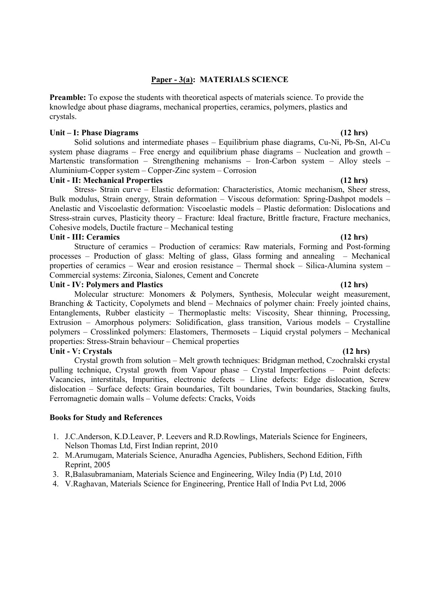## **Paper - 3(a): MATERIALS SCIENCE**

**Preamble:** To expose the students with theoretical aspects of materials science. To provide the knowledge about phase diagrams, mechanical properties, ceramics, polymers, plastics and crystals.

## **Unit – I: Phase Diagrams (12 hrs)**

 Solid solutions and intermediate phases – Equilibrium phase diagrams, Cu-Ni, Pb-Sn, Al-Cu system phase diagrams – Free energy and equilibrium phase diagrams – Nucleation and growth – Martenstic transformation – Strengthening mehanisms – Iron-Carbon system – Alloy steels – Aluminium-Copper system – Copper-Zinc system – Corrosion

### **Unit - II: Mechanical Properties (12 hrs)**

 Stress- Strain curve – Elastic deformation: Characteristics, Atomic mechanism, Sheer stress, Bulk modulus, Strain energy, Strain deformation – Viscous deformation: Spring-Dashpot models – Anelastic and Viscoelastic deformation: Viscoelastic models – Plastic deformation: Dislocations and Stress-strain curves, Plasticity theory – Fracture: Ideal fracture, Brittle fracture, Fracture mechanics, Cohesive models, Ductile fracture – Mechanical testing

### **Unit - III: Ceramics (12 hrs)**

 Structure of ceramics – Production of ceramics: Raw materials, Forming and Post-forming processes – Production of glass: Melting of glass, Glass forming and annealing – Mechanical properties of ceramics – Wear and erosion resistance – Thermal shock – Silica-Alumina system – Commercial systems: Zirconia, Sialones, Cement and Concrete

## **Unit - IV: Polymers and Plastics (12 hrs)**

 Molecular structure: Monomers & Polymers, Synthesis, Molecular weight measurement, Branching & Tacticity, Copolymets and blend – Mechnaics of polymer chain: Freely jointed chains, Entanglements, Rubber elasticity – Thermoplastic melts: Viscosity, Shear thinning, Processing, Extrusion – Amorphous polymers: Solidification, glass transition, Various models – Crystalline polymers – Crosslinked polymers: Elastomers, Thermosets – Liquid crystal polymers – Mechanical properties: Stress-Strain behaviour – Chemical properties

## **Unit - V: Crystals (12 hrs)**

 Crystal growth from solution – Melt growth techniques: Bridgman method, Czochralski crystal pulling technique, Crystal growth from Vapour phase – Crystal Imperfections – Point defects: Vacancies, interstitals, Impurities, electronic defects – Lline defects: Edge dislocation, Screw dislocation – Surface defects: Grain boundaries, Tilt boundaries, Twin boundaries, Stacking faults, Ferromagnetic domain walls – Volume defects: Cracks, Voids

- 1. J.C.Anderson, K.D.Leaver, P. Leevers and R.D.Rowlings, Materials Science for Engineers, Nelson Thomas Ltd, First Indian reprint, 2010
- 2. M.Arumugam, Materials Science, Anuradha Agencies, Publishers, Sechond Edition, Fifth Reprint, 2005
- 3. R,Balasubramaniam, Materials Science and Engineering, Wiley India (P) Ltd, 2010
- 4. V.Raghavan, Materials Science for Engineering, Prentice Hall of India Pvt Ltd, 2006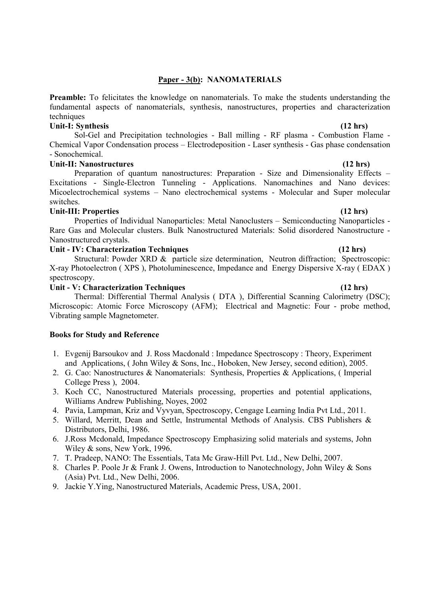## **Paper - 3(b): NANOMATERIALS**

**Preamble:** To felicitates the knowledge on nanomaterials. To make the students understanding the fundamental aspects of nanomaterials, synthesis, nanostructures, properties and characterization techniques

## Unit-I: Synthesis (12 hrs)

Sol-Gel and Precipitation technologies - Ball milling - RF plasma - Combustion Flame - Chemical Vapor Condensation process – Electrodeposition - Laser synthesis - Gas phase condensation - Sonochemical.

## Unit-II: Nanostructures (12 hrs)

Preparation of quantum nanostructures: Preparation - Size and Dimensionality Effects – Excitations - Single-Electron Tunneling - Applications. Nanomachines and Nano devices: Micoelectrochemical systems – Nano electrochemical systems - Molecular and Super molecular switches.

## Unit-III: Properties (12 hrs) **(12 hrs) (12 hrs)**

Properties of Individual Nanoparticles: Metal Nanoclusters – Semiconducting Nanoparticles - Rare Gas and Molecular clusters. Bulk Nanostructured Materials: Solid disordered Nanostructure - Nanostructured crystals.

## Unit - IV: Characterization Techniques **(12 hrs)** (12 hrs)

Structural: Powder XRD & particle size determination, Neutron diffraction; Spectroscopic: X-ray Photoelectron ( XPS ), Photoluminescence, Impedance and Energy Dispersive X-ray ( EDAX ) spectroscopy.

## Unit - V: Characterization Techniques (12 hrs)

Thermal: Differential Thermal Analysis ( DTA ), Differential Scanning Calorimetry (DSC); Microscopic: Atomic Force Microscopy (AFM); Electrical and Magnetic: Four - probe method, Vibrating sample Magnetometer.

- 1. Evgenij Barsoukov and J. Ross Macdonald : Impedance Spectroscopy : Theory, Experiment and Applications, ( John Wiley & Sons, Inc., Hoboken, New Jersey, second edition), 2005.
- 2. G. Cao: Nanostructures & Nanomaterials: Synthesis, Properties & Applications, ( Imperial College Press ), 2004.
- 3. Koch CC, Nanostructured Materials processing, properties and potential applications, Williams Andrew Publishing, Noyes, 2002
- 4. Pavia, Lampman, Kriz and Vyvyan, Spectroscopy, Cengage Learning India Pvt Ltd., 2011.
- 5. Willard, Merritt, Dean and Settle, Instrumental Methods of Analysis. CBS Publishers & Distributors, Delhi, 1986.
- 6. J.Ross Mcdonald, Impedance Spectroscopy Emphasizing solid materials and systems, John Wiley & sons, New York, 1996.
- 7. T. Pradeep, NANO: The Essentials, Tata Mc Graw-Hill Pvt. Ltd., New Delhi, 2007.
- 8. Charles P. Poole Jr & Frank J. Owens, Introduction to Nanotechnology, John Wiley & Sons (Asia) Pvt. Ltd., New Delhi, 2006.
- 9. Jackie Y.Ying, Nanostructured Materials, Academic Press, USA, 2001.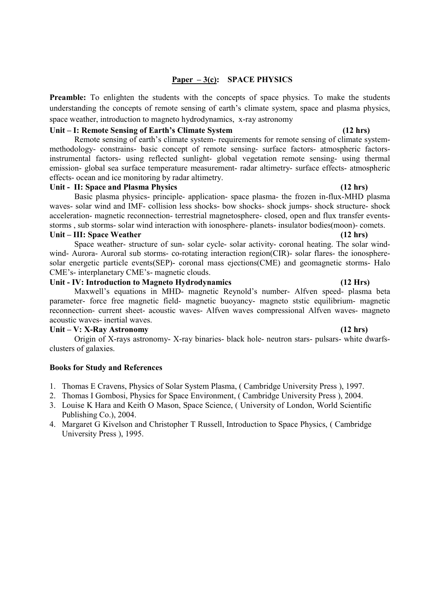# **Paper – 3(c): SPACE PHYSICS**

**Preamble:** To enlighten the students with the concepts of space physics. To make the students understanding the concepts of remote sensing of earth's climate system, space and plasma physics, space weather, introduction to magneto hydrodynamics, x-ray astronomy

## **Unit – I: Remote Sensing of Earth's Climate System (12 hrs)**

Remote sensing of earth's climate system- requirements for remote sensing of climate systemmethodology- constrains- basic concept of remote sensing- surface factors- atmospheric factorsinstrumental factors- using reflected sunlight- global vegetation remote sensing- using thermal emission- global sea surface temperature measurement- radar altimetry- surface effects- atmospheric effects- ocean and ice monitoring by radar altimetry.

## Unit - II: Space and Plasma Physics **(12 hrs)** (12 hrs)

Basic plasma physics- principle- application- space plasma- the frozen in-flux-MHD plasma waves- solar wind and IMF- collision less shocks- bow shocks- shock jumps- shock structure- shock acceleration- magnetic reconnection- terrestrial magnetosphere- closed, open and flux transfer eventsstorms , sub storms- solar wind interaction with ionosphere- planets- insulator bodies(moon)- comets. Unit – III: Space Weather (12 hrs)

Space weather- structure of sun- solar cycle- solar activity- coronal heating. The solar windwind- Aurora- Auroral sub storms- co-rotating interaction region(CIR)- solar flares- the ionospheresolar energetic particle events(SEP)- coronal mass ejections(CME) and geomagnetic storms- Halo CME's- interplanetary CME's- magnetic clouds.

# **Unit - IV: Introduction to Magneto Hydrodynamics (12 Hrs)**

Maxwell's equations in MHD- magnetic Reynold's number- Alfven speed- plasma beta parameter- force free magnetic field- magnetic buoyancy- magneto ststic equilibrium- magnetic reconnection- current sheet- acoustic waves- Alfven waves compressional Alfven waves- magneto acoustic waves- inertial waves.

## **Unit – V: X-Ray Astronomy (12 hrs)**

Origin of X-rays astronomy- X-ray binaries- black hole- neutron stars- pulsars- white dwarfsclusters of galaxies.

- 1. Thomas E Cravens, Physics of Solar System Plasma, ( Cambridge University Press ), 1997.
- 2. Thomas I Gombosi, Physics for Space Environment, ( Cambridge University Press ), 2004.
- 3. Louise K Hara and Keith O Mason, Space Science, ( University of London, World Scientific Publishing Co.), 2004.
- 4. Margaret G Kivelson and Christopher T Russell, Introduction to Space Physics, ( Cambridge University Press ), 1995.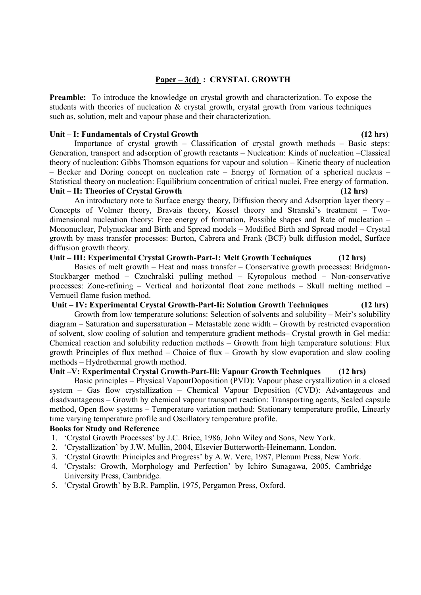# **Paper – 3(d) : CRYSTAL GROWTH**

**Preamble:** To introduce the knowledge on crystal growth and characterization. To expose the students with theories of nucleation & crystal growth, crystal growth from various techniques such as, solution, melt and vapour phase and their characterization.

## Unit – I: Fundamentals of Crystal Growth (12 hrs)

Importance of crystal growth – Classification of crystal growth methods – Basic steps: Generation, transport and adsorption of growth reactants – Nucleation: Kinds of nucleation –Classical theory of nucleation: Gibbs Thomson equations for vapour and solution – Kinetic theory of nucleation – Becker and Doring concept on nucleation rate – Energy of formation of a spherical nucleus – Statistical theory on nucleation: Equilibrium concentration of critical nuclei, Free energy of formation.

# Unit – II: Theories of Crystal Growth (12 hrs)

An introductory note to Surface energy theory, Diffusion theory and Adsorption layer theory – Concepts of Volmer theory, Bravais theory, Kossel theory and Stranski's treatment – Twodimensional nucleation theory: Free energy of formation, Possible shapes and Rate of nucleation – Mononuclear, Polynuclear and Birth and Spread models – Modified Birth and Spread model – Crystal growth by mass transfer processes: Burton, Cabrera and Frank (BCF) bulk diffusion model, Surface diffusion growth theory.

## **Unit – III: Experimental Crystal Growth-Part-I: Melt Growth Techniques (12 hrs)**

Basics of melt growth – Heat and mass transfer – Conservative growth processes: Bridgman-Stockbarger method – Czochralski pulling method – Kyropolous method – Non-conservative processes: Zone-refining – Vertical and horizontal float zone methods – Skull melting method – Vernueil flame fusion method.

# **Unit – IV: Experimental Crystal Growth-Part-Ii: Solution Growth Techniques (12 hrs)**

Growth from low temperature solutions: Selection of solvents and solubility – Meir's solubility diagram – Saturation and supersaturation – Metastable zone width – Growth by restricted evaporation of solvent, slow cooling of solution and temperature gradient methods– Crystal growth in Gel media: Chemical reaction and solubility reduction methods – Growth from high temperature solutions: Flux growth Principles of flux method – Choice of flux – Growth by slow evaporation and slow cooling methods – Hydrothermal growth method.

# **Unit –V: Experimental Crystal Growth-Part-Iii: Vapour Growth Techniques (12 hrs)**

Basic principles – Physical VapourDoposition (PVD): Vapour phase crystallization in a closed system – Gas flow crystallization – Chemical Vapour Deposition (CVD): Advantageous and disadvantageous – Growth by chemical vapour transport reaction: Transporting agents, Sealed capsule method, Open flow systems – Temperature variation method: Stationary temperature profile, Linearly time varying temperature profile and Oscillatory temperature profile.

- 1. 'Crystal Growth Processes' by J.C. Brice, 1986, John Wiley and Sons, New York.
- 2. 'Crystallization' by J.W. Mullin, 2004, Elsevier Butterworth-Heinemann, London.
- 3. 'Crystal Growth: Principles and Progress' by A.W. Vere, 1987, Plenum Press, New York.
- 4. 'Crystals: Growth, Morphology and Perfection' by Ichiro Sunagawa, 2005, Cambridge University Press, Cambridge.
- 5. 'Crystal Growth' by B.R. Pamplin, 1975, Pergamon Press, Oxford.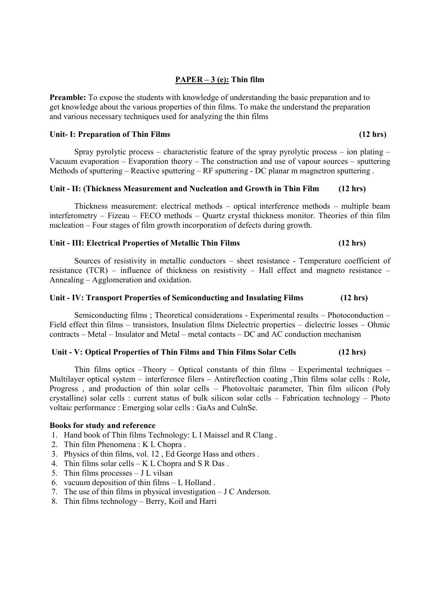# **PAPER – 3 (e): Thin film**

**Preamble:** To expose the students with knowledge of understanding the basic preparation and to get knowledge about the various properties of thin films. To make the understand the preparation and various necessary techniques used for analyzing the thin films

### Unit- I: Preparation of Thin Films (12 hrs)

Spray pyrolytic process – characteristic feature of the spray pyrolytic process – ion plating – Vacuum evaporation – Evaporation theory – The construction and use of vapour sources – sputtering Methods of sputtering – Reactive sputtering – RF sputtering - DC planar m magnetron sputtering .

## **Unit - II: (Thickness Measurement and Nucleation and Growth in Thin Film (12 hrs)**

Thickness measurement: electrical methods – optical interference methods – multiple beam interferometry – Fizeau – FECO methods – Quartz crystal thickness monitor. Theories of thin film nucleation – Four stages of film growth incorporation of defects during growth.

## **Unit - III: Electrical Properties of Metallic Thin Films (12 hrs)**

Sources of resistivity in metallic conductors – sheet resistance - Temperature coefficient of resistance (TCR) – influence of thickness on resistivity – Hall effect and magneto resistance – Annealing – Agglomeration and oxidation.

### **Unit - IV: Transport Properties of Semiconducting and Insulating Films (12 hrs)**

Semiconducting films ; Theoretical considerations - Experimental results – Photoconduction – Field effect thin films – transistors, Insulation films Dielectric properties – dielectric losses – Ohmic contracts – Metal – Insulator and Metal – metal contacts – DC and AC conduction mechanism

## **Unit - V: Optical Properties of Thin Films and Thin Films Solar Cells (12 hrs)**

Thin films optics –Theory – Optical constants of thin films – Experimental techniques – Multilayer optical system – interference filers – Antireflection coating ,Thin films solar cells : Role, Progress , and production of thin solar cells – Photovoltaic parameter, Thin film silicon (Poly crystalline) solar cells : current status of bulk silicon solar cells – Fabrication technology – Photo voltaic performance : Emerging solar cells : GaAs and CulnSe.

- 1. Hand book of Thin films Technology: L I Maissel and R Clang .
- 2. Thin film Phenomena : K L Chopra .
- 3. Physics of thin films, vol. 12 , Ed George Hass and others .
- 4. Thin films solar cells K L Chopra and S R Das .
- 5. Thin films processes J L vilsan
- 6. vacuum deposition of thin films L Holland .
- 7. The use of thin films in physical investigation J C Anderson.
- 8. Thin films technology Berry, Koil and Harri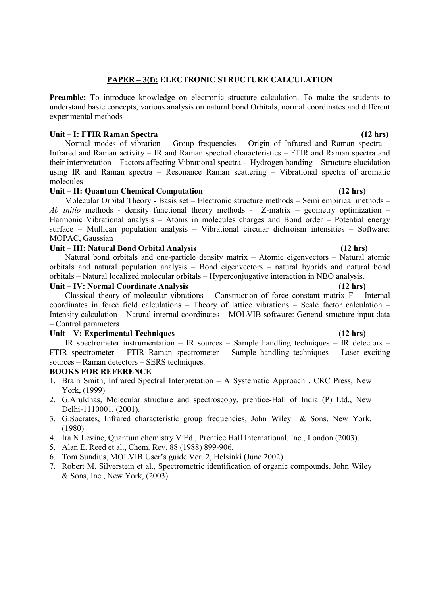# **PAPER – 3(f): ELECTRONIC STRUCTURE CALCULATION**

**Preamble:** To introduce knowledge on electronic structure calculation. To make the students to understand basic concepts, various analysis on natural bond Orbitals, normal coordinates and different experimental methods

## **Unit – I: FTIR Raman Spectra (12 hrs)**

 Normal modes of vibration – Group frequencies – Origin of Infrared and Raman spectra – Infrared and Raman activity – IR and Raman spectral characteristics – FTIR and Raman spectra and their interpretation – Factors affecting Vibrational spectra - Hydrogen bonding – Structure elucidation using IR and Raman spectra – Resonance Raman scattering – Vibrational spectra of aromatic molecules

## **Unit – II: Quantum Chemical Computation (12 hrs)**

 Molecular Orbital Theory - Basis set – Electronic structure methods – Semi empirical methods – *Ab initio* methods - density functional theory methods - Z-matrix – geometry optimization – Harmonic Vibrational analysis – Atoms in molecules charges and Bond order – Potential energy surface – Mullican population analysis – Vibrational circular dichroism intensities – Software: MOPAC, Gaussian

## **Unit – III: Natural Bond Orbital Analysis (12 hrs)**

 Natural bond orbitals and one-particle density matrix – Atomic eigenvectors – Natural atomic orbitals and natural population analysis – Bond eigenvectors – natural hybrids and natural bond orbitals – Natural localized molecular orbitals – Hyperconjugative interaction in NBO analysis. **Unit – IV: Normal Coordinate Analysis (12 hrs)** 

Classical theory of molecular vibrations – Construction of force constant matrix  $F -$  Internal coordinates in force field calculations – Theory of lattice vibrations – Scale factor calculation – Intensity calculation – Natural internal coordinates – MOLVIB software: General structure input data – Control parameters

## Unit – V: Experimental Techniques (12 hrs)

 IR spectrometer instrumentation – IR sources – Sample handling techniques – IR detectors – FTIR spectrometer – FTIR Raman spectrometer – Sample handling techniques – Laser exciting sources – Raman detectors – SERS techniques.

# **BOOKS FOR REFERENCE**

- 1. Brain Smith, Infrared Spectral Interpretation A Systematic Approach , CRC Press, New York, (1999)
- 2. G.Aruldhas, Molecular structure and spectroscopy, prentice-Hall of India (P) Ltd., New Delhi-1110001, (2001).
- 3. G.Socrates, Infrared characteristic group frequencies, John Wiley & Sons, New York, (1980)
- 4. Ira N.Levine, Quantum chemistry V Ed., Prentice Hall International, Inc., London (2003).
- 5. Alan E. Reed et al., Chem. Rev. 88 (1988) 899-906.
- 6. Tom Sundius, MOLVIB User's guide Ver. 2, Helsinki (June 2002)
- 7. Robert M. Silverstein et al., Spectrometric identification of organic compounds, John Wiley & Sons, Inc., New York, (2003).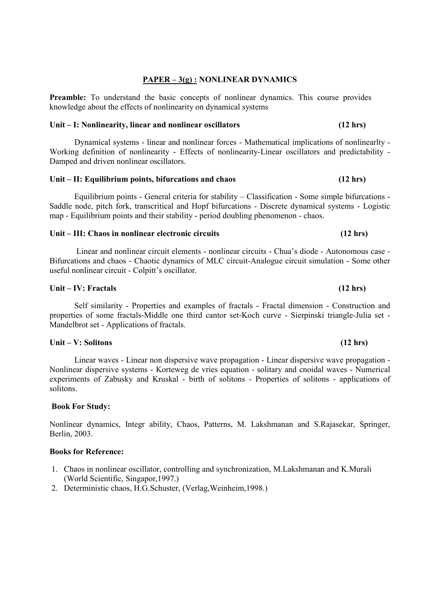## **PAPER – 3(g) : NONLINEAR DYNAMICS**

**Preamble:** To understand the basic concepts of nonlinear dynamics. This course provides knowledge about the effects of nonlinearity on dynamical systems

### **Unit – I: Nonlinearity, linear and nonlinear oscillators (12 hrs)**

Dynamical systems - linear and nonlinear forces - Mathematical implications of nonlinearlty - Working definition of nonlinearity - Effects of nonlinearity-Linear oscillators and predictability - Damped and driven nonlinear oscillators.

## Unit – II: Equilibrium points, bifurcations and chaos (12 hrs)

Equilibrium points - General criteria for stability – Classification - Some simple bifurcations - Saddle node, pitch fork, transcritical and Hopf bifurcations - Discrete dynamical systems - Logistic map - Equilibrium points and their stability - period doubling phenomenon - chaos.

### Unit – III: Chaos in nonlinear electronic circuits **(12 hrs)** (12 hrs)

Linear and nonlinear circuit elements - nonlinear circuits - Chua's diode - Autonomous case - Bifurcations and chaos - Chaotic dynamics of MLC circuit-Analogue circuit simulation - Some other useful nonlinear circuit - Colpitt's oscillator.

### Unit – IV: Fractals (12 hrs)

Self similarity - Properties and examples of fractals - Fractal dimension - Construction and properties of some fractals-Middle one third cantor set-Koch curve - Sierpinski triangle-Julia set - Mandelbrot set - Applications of fractals.

### **Unit – V: Solitons (12 hrs)**

Linear waves - Linear non dispersive wave propagation - Linear dispersive wave propagation - Nonlinear dispersive systems - Korteweg de vries equation - solitary and cnoidal waves - Numerical experiments of Zabusky and Kruskal - birth of solitons - Properties of solitons - applications of solitons.

### **Book For Study:**

Nonlinear dynamics, Integr ability, Chaos, Patterns, M. Lakshmanan and S.Rajasekar, Springer, Berlin, 2003.

### **Books for Reference:**

- 1. Chaos in nonlinear oscillator, controlling and synchronization, M.Lakshmanan and K.Murali (World Scientific, Singapor,1997.)
- 2. Deterministic chaos, H.G.Schuster, (Verlag,Weinheim,1998.)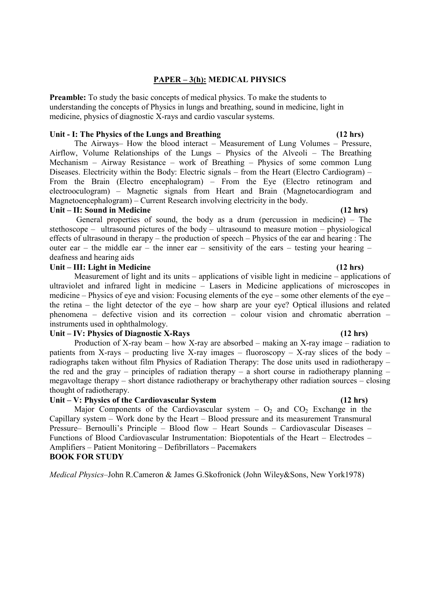## **PAPER – 3(h): MEDICAL PHYSICS**

**Preamble:** To study the basic concepts of medical physics. To make the students to understanding the concepts of Physics in lungs and breathing, sound in medicine, light in medicine, physics of diagnostic X-rays and cardio vascular systems.

### Unit - I: The Physics of the Lungs and Breathing (12 hrs)

The Airways– How the blood interact – Measurement of Lung Volumes – Pressure, Airflow, Volume Relationships of the Lungs – Physics of the Alveoli – The Breathing Mechanism – Airway Resistance – work of Breathing – Physics of some common Lung Diseases. Electricity within the Body: Electric signals – from the Heart (Electro Cardiogram) – From the Brain (Electro encephalogram) – From the Eye (Electro retinogram and electrooculogram) – Magnetic signals from Heart and Brain (Magnetocardiogram and Magnetoencephalogram) – Current Research involving electricity in the body.

### **Unit – II: Sound in Medicine (12 hrs)**

 General properties of sound, the body as a drum (percussion in medicine) – The stethoscope – ultrasound pictures of the body – ultrasound to measure motion – physiological effects of ultrasound in therapy – the production of speech – Physics of the ear and hearing : The outer ear – the middle ear – the inner ear – sensitivity of the ears – testing your hearing – deafness and hearing aids

# Unit – III: Light in Medicine (12 hrs)

Measurement of light and its units – applications of visible light in medicine – applications of ultraviolet and infrared light in medicine – Lasers in Medicine applications of microscopes in medicine – Physics of eye and vision: Focusing elements of the eye – some other elements of the eye – the retina – the light detector of the eye – how sharp are your eye? Optical illusions and related phenomena – defective vision and its correction – colour vision and chromatic aberration – instruments used in ophthalmology.

## **Unit – IV: Physics of Diagnostic X-Rays (12 hrs)**

Production of X-ray beam – how X-ray are absorbed – making an X-ray image – radiation to patients from X-rays – producting live X-ray images – fluoroscopy – X-ray slices of the body – radiographs taken without film Physics of Radiation Therapy: The dose units used in radiotherapy – the red and the gray – principles of radiation therapy – a short course in radiotherapy planning – megavoltage therapy – short distance radiotherapy or brachytherapy other radiation sources – closing thought of radiotherapy.

## Unit – V: Physics of the Cardiovascular System (12 hrs)

Major Components of the Cardiovascular system  $- O_2$  and  $CO_2$  Exchange in the Capillary system – Work done by the Heart – Blood pressure and its measurement Transmural Pressure– Bernoulli's Principle – Blood flow – Heart Sounds – Cardiovascular Diseases – Functions of Blood Cardiovascular Instrumentation: Biopotentials of the Heart – Electrodes – Amplifiers – Patient Monitoring – Defibrillators – Pacemakers **BOOK FOR STUDY** 

*Medical Physics*–John R.Cameron & James G.Skofronick (John Wiley&Sons, New York1978)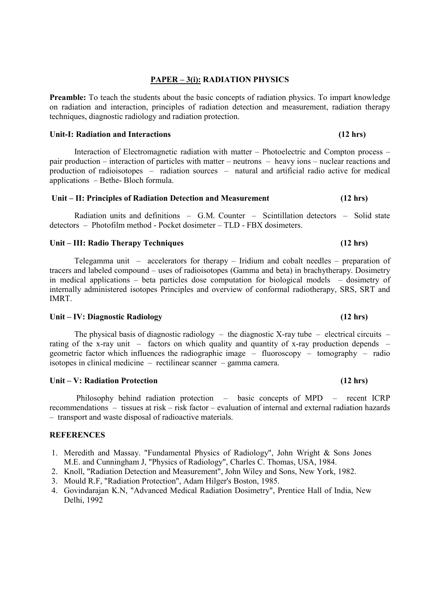# **PAPER – 3(i): RADIATION PHYSICS**

**Preamble:** To teach the students about the basic concepts of radiation physics. To impart knowledge on radiation and interaction, principles of radiation detection and measurement, radiation therapy techniques, diagnostic radiology and radiation protection.

### Unit-I: Radiation and Interactions (12 hrs)

Interaction of Electromagnetic radiation with matter – Photoelectric and Compton process – pair production – interaction of particles with matter – neutrons – heavy ions – nuclear reactions and production of radioisotopes – radiation sources – natural and artificial radio active for medical applications – Bethe- Bloch formula.

## **Unit – II: Principles of Radiation Detection and Measurement (12 hrs)**

Radiation units and definitions – G.M. Counter – Scintillation detectors – Solid state detectors – Photofilm method - Pocket dosimeter – TLD - FBX dosimeters.

### **Unit – III: Radio Therapy Techniques (12 hrs)**

Telegamma unit – accelerators for therapy – Iridium and cobalt needles – preparation of tracers and labeled compound – uses of radioisotopes (Gamma and beta) in brachytherapy. Dosimetry in medical applications – beta particles dose computation for biological models – dosimetry of internally administered isotopes Principles and overview of conformal radiotherapy, SRS, SRT and **IMRT** 

### **Unit – IV: Diagnostic Radiology (12 hrs)**

The physical basis of diagnostic radiology – the diagnostic X-ray tube – electrical circuits – rating of the x-ray unit – factors on which quality and quantity of x-ray production depends – geometric factor which influences the radiographic image – fluoroscopy – tomography – radio isotopes in clinical medicine – rectilinear scanner – gamma camera.

### **Unit – V: Radiation Protection (12 hrs)**

 Philosophy behind radiation protection – basic concepts of MPD – recent ICRP recommendations – tissues at risk – risk factor – evaluation of internal and external radiation hazards – transport and waste disposal of radioactive materials.

## **REFERENCES**

- 1. Meredith and Massay. "Fundamental Physics of Radiology", John Wright & Sons Jones M.E. and Cunningham J, "Physics of Radiology", Charles C. Thomas, USA, 1984.
- 2. Knoll, "Radiation Detection and Measurement", John Wiley and Sons, New York, 1982.
- 3. Mould R.F, "Radiation Protection", Adam Hilger's Boston, 1985.
- 4. Govindarajan K.N, "Advanced Medical Radiation Dosimetry", Prentice Hall of India, New Delhi, 1992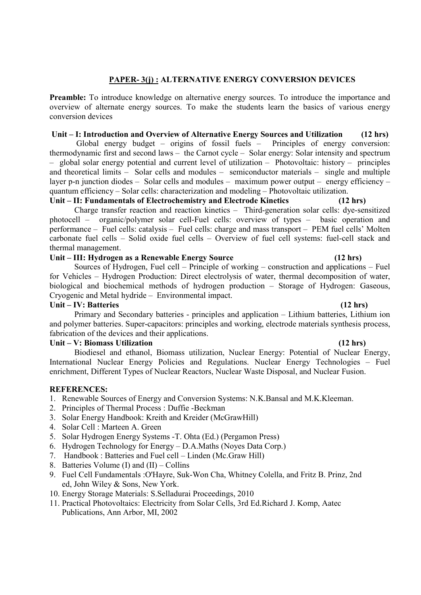# **PAPER- 3(j) : ALTERNATIVE ENERGY CONVERSION DEVICES**

**Preamble:** To introduce knowledge on alternative energy sources. To introduce the importance and overview of alternate energy sources. To make the students learn the basics of various energy conversion devices

## **Unit – I: Introduction and Overview of Alternative Energy Sources and Utilization (12 hrs)**

 Global energy budget – origins of fossil fuels – Principles of energy conversion: thermodynamic first and second laws – the Carnot cycle – Solar energy: Solar intensity and spectrum – global solar energy potential and current level of utilization – Photovoltaic: history – principles and theoretical limits – Solar cells and modules – semiconductor materials – single and multiple layer p-n junction diodes – Solar cells and modules – maximum power output – energy efficiency – quantum efficiency – Solar cells: characterization and modeling – Photovoltaic utilization.

### **Unit – II: Fundamentals of Electrochemistry and Electrode Kinetics (12 hrs)**

Charge transfer reaction and reaction kinetics – Third-generation solar cells: dye-sensitized photocell – organic/polymer solar cell-Fuel cells: overview of types – basic operation and performance – Fuel cells: catalysis – Fuel cells: charge and mass transport – PEM fuel cells' Molten carbonate fuel cells – Solid oxide fuel cells – Overview of fuel cell systems: fuel-cell stack and thermal management.

## **Unit – III: Hydrogen as a Renewable Energy Source (12 hrs)**

Sources of Hydrogen, Fuel cell – Principle of working – construction and applications – Fuel for Vehicles – Hydrogen Production: Direct electrolysis of water, thermal decomposition of water, biological and biochemical methods of hydrogen production – Storage of Hydrogen: Gaseous, Cryogenic and Metal hydride – Environmental impact.

# Unit – IV: Batteries (12 hrs)

Primary and Secondary batteries - principles and application – Lithium batteries, Lithium ion and polymer batteries. Super-capacitors: principles and working, electrode materials synthesis process, fabrication of the devices and their applications.

## **Unit – V: Biomass Utilization (12 hrs)**

Biodiesel and ethanol, Biomass utilization, Nuclear Energy: Potential of Nuclear Energy, International Nuclear Energy Policies and Regulations. Nuclear Energy Technologies – Fuel enrichment, Different Types of Nuclear Reactors, Nuclear Waste Disposal, and Nuclear Fusion.

## **REFERENCES:**

- 1. Renewable Sources of Energy and Conversion Systems: N.K.Bansal and M.K.Kleeman.
- 2. Principles of Thermal Process : Duffie -Beckman
- 3. Solar Energy Handbook: Kreith and Kreider (McGrawHill)
- 4. Solar Cell : Marteen A. Green
- 5. Solar Hydrogen Energy Systems -T. Ohta (Ed.) (Pergamon Press)
- 6. Hydrogen Technology for Energy D.A.Maths (Noyes Data Corp.)
- 7. Handbook : Batteries and Fuel cell Linden (Mc.Graw Hill)
- 8. Batteries Volume (I) and (II) Collins
- 9. Fuel Cell Fundamentals :O'Hayre, Suk-Won Cha, Whitney Colella, and Fritz B. Prinz, 2nd ed, John Wiley & Sons, New York.
- 10. Energy Storage Materials: S.Selladurai Proceedings, 2010
- 11. Practical Photovoltaics: Electricity from Solar Cells, 3rd Ed.Richard J. Komp, Aatec Publications, Ann Arbor, MI, 2002